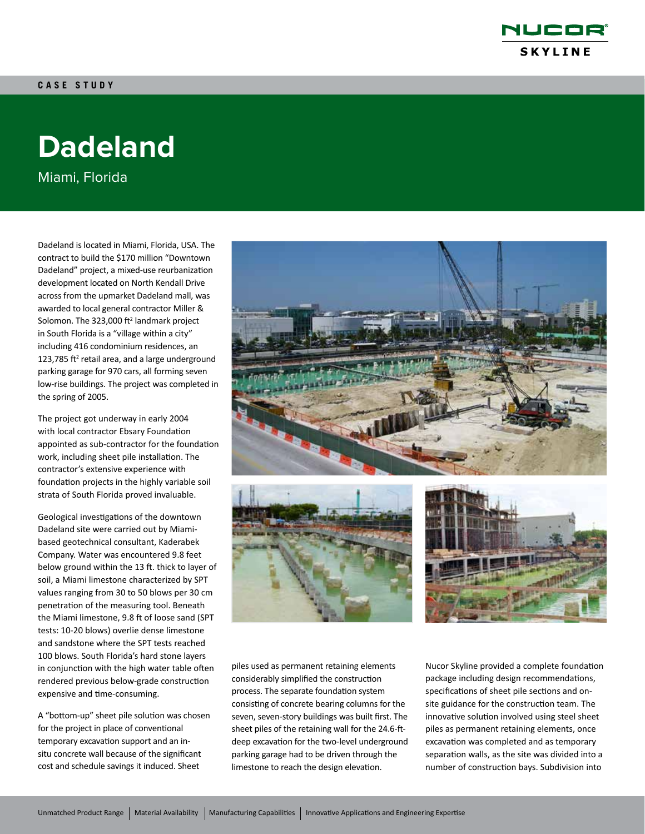

# **Dadeland**

Miami, Florida

Dadeland is located in Miami, Florida, USA. The contract to build the \$170 million "Downtown Dadeland" project, a mixed-use reurbanization development located on North Kendall Drive across from the upmarket Dadeland mall, was awarded to local general contractor Miller & Solomon. The  $323,000$  ft<sup>2</sup> landmark project in South Florida is a "village within a city" including 416 condominium residences, an 123,785  $ft<sup>2</sup>$  retail area, and a large underground parking garage for 970 cars, all forming seven low-rise buildings. The project was completed in the spring of 2005.

The project got underway in early 2004 with local contractor Ebsary Foundation appointed as sub-contractor for the foundation work, including sheet pile installation. The contractor's extensive experience with foundation projects in the highly variable soil strata of South Florida proved invaluable.

Geological investigations of the downtown Dadeland site were carried out by Miamibased geotechnical consultant, Kaderabek Company. Water was encountered 9.8 feet below ground within the 13 ft. thick to layer of soil, a Miami limestone characterized by SPT values ranging from 30 to 50 blows per 30 cm penetration of the measuring tool. Beneath the Miami limestone, 9.8 ft of loose sand (SPT tests: 10-20 blows) overlie dense limestone and sandstone where the SPT tests reached 100 blows. South Florida's hard stone layers in conjunction with the high water table often rendered previous below-grade construction expensive and time-consuming.

A "bottom-up" sheet pile solution was chosen for the project in place of conventional temporary excavation support and an insitu concrete wall because of the significant cost and schedule savings it induced. Sheet







piles used as permanent retaining elements considerably simplified the construction process. The separate foundation system consisting of concrete bearing columns for the seven, seven-story buildings was built first. The sheet piles of the retaining wall for the 24.6-ftdeep excavation for the two-level underground parking garage had to be driven through the limestone to reach the design elevation.

Nucor Skyline provided a complete foundation package including design recommendations, specifications of sheet pile sections and onsite guidance for the construction team. The innovative solution involved using steel sheet piles as permanent retaining elements, once excavation was completed and as temporary separation walls, as the site was divided into a number of construction bays. Subdivision into